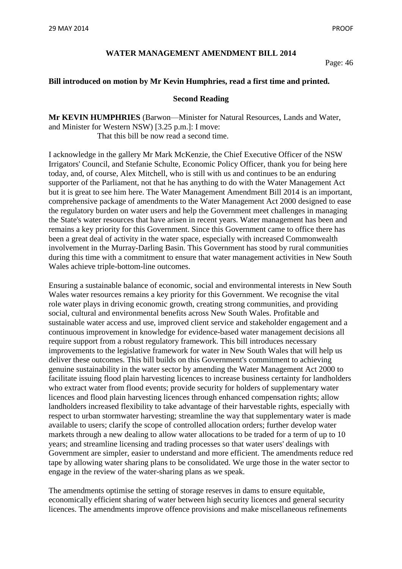## **WATER MANAGEMENT AMENDMENT BILL 2014**

Page: 46

## **Bill introduced on motion by Mr Kevin Humphries, read a first time and printed.**

## **Second Reading**

**Mr KEVIN HUMPHRIES** (Barwon—Minister for Natural Resources, Lands and Water, and Minister for Western NSW) [3.25 p.m.]: I move: That this bill be now read a second time.

I acknowledge in the gallery Mr Mark McKenzie, the Chief Executive Officer of the NSW Irrigators' Council, and Stefanie Schulte, Economic Policy Officer, thank you for being here today, and, of course, Alex Mitchell, who is still with us and continues to be an enduring supporter of the Parliament, not that he has anything to do with the Water Management Act but it is great to see him here. The Water Management Amendment Bill 2014 is an important, comprehensive package of amendments to the Water Management Act 2000 designed to ease the regulatory burden on water users and help the Government meet challenges in managing the State's water resources that have arisen in recent years. Water management has been and remains a key priority for this Government. Since this Government came to office there has been a great deal of activity in the water space, especially with increased Commonwealth involvement in the Murray-Darling Basin. This Government has stood by rural communities during this time with a commitment to ensure that water management activities in New South Wales achieve triple-bottom-line outcomes.

Ensuring a sustainable balance of economic, social and environmental interests in New South Wales water resources remains a key priority for this Government. We recognise the vital role water plays in driving economic growth, creating strong communities, and providing social, cultural and environmental benefits across New South Wales. Profitable and sustainable water access and use, improved client service and stakeholder engagement and a continuous improvement in knowledge for evidence-based water management decisions all require support from a robust regulatory framework. This bill introduces necessary improvements to the legislative framework for water in New South Wales that will help us deliver these outcomes. This bill builds on this Government's commitment to achieving genuine sustainability in the water sector by amending the Water Management Act 2000 to facilitate issuing flood plain harvesting licences to increase business certainty for landholders who extract water from flood events; provide security for holders of supplementary water licences and flood plain harvesting licences through enhanced compensation rights; allow landholders increased flexibility to take advantage of their harvestable rights, especially with respect to urban stormwater harvesting; streamline the way that supplementary water is made available to users; clarify the scope of controlled allocation orders; further develop water markets through a new dealing to allow water allocations to be traded for a term of up to 10 years; and streamline licensing and trading processes so that water users' dealings with Government are simpler, easier to understand and more efficient. The amendments reduce red tape by allowing water sharing plans to be consolidated. We urge those in the water sector to engage in the review of the water-sharing plans as we speak.

The amendments optimise the setting of storage reserves in dams to ensure equitable, economically efficient sharing of water between high security licences and general security licences. The amendments improve offence provisions and make miscellaneous refinements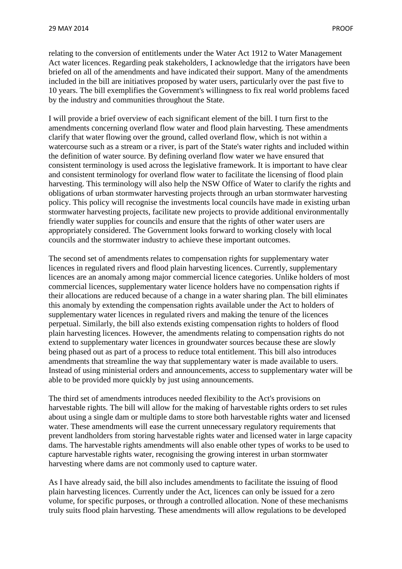relating to the conversion of entitlements under the Water Act 1912 to Water Management Act water licences. Regarding peak stakeholders, I acknowledge that the irrigators have been briefed on all of the amendments and have indicated their support. Many of the amendments included in the bill are initiatives proposed by water users, particularly over the past five to 10 years. The bill exemplifies the Government's willingness to fix real world problems faced by the industry and communities throughout the State.

I will provide a brief overview of each significant element of the bill. I turn first to the amendments concerning overland flow water and flood plain harvesting. These amendments clarify that water flowing over the ground, called overland flow, which is not within a watercourse such as a stream or a river, is part of the State's water rights and included within the definition of water source. By defining overland flow water we have ensured that consistent terminology is used across the legislative framework. It is important to have clear and consistent terminology for overland flow water to facilitate the licensing of flood plain harvesting. This terminology will also help the NSW Office of Water to clarify the rights and obligations of urban stormwater harvesting projects through an urban stormwater harvesting policy. This policy will recognise the investments local councils have made in existing urban stormwater harvesting projects, facilitate new projects to provide additional environmentally friendly water supplies for councils and ensure that the rights of other water users are appropriately considered. The Government looks forward to working closely with local councils and the stormwater industry to achieve these important outcomes.

The second set of amendments relates to compensation rights for supplementary water licences in regulated rivers and flood plain harvesting licences. Currently, supplementary licences are an anomaly among major commercial licence categories. Unlike holders of most commercial licences, supplementary water licence holders have no compensation rights if their allocations are reduced because of a change in a water sharing plan. The bill eliminates this anomaly by extending the compensation rights available under the Act to holders of supplementary water licences in regulated rivers and making the tenure of the licences perpetual. Similarly, the bill also extends existing compensation rights to holders of flood plain harvesting licences. However, the amendments relating to compensation rights do not extend to supplementary water licences in groundwater sources because these are slowly being phased out as part of a process to reduce total entitlement. This bill also introduces amendments that streamline the way that supplementary water is made available to users. Instead of using ministerial orders and announcements, access to supplementary water will be able to be provided more quickly by just using announcements.

The third set of amendments introduces needed flexibility to the Act's provisions on harvestable rights. The bill will allow for the making of harvestable rights orders to set rules about using a single dam or multiple dams to store both harvestable rights water and licensed water. These amendments will ease the current unnecessary regulatory requirements that prevent landholders from storing harvestable rights water and licensed water in large capacity dams. The harvestable rights amendments will also enable other types of works to be used to capture harvestable rights water, recognising the growing interest in urban stormwater harvesting where dams are not commonly used to capture water.

As I have already said, the bill also includes amendments to facilitate the issuing of flood plain harvesting licences. Currently under the Act, licences can only be issued for a zero volume, for specific purposes, or through a controlled allocation. None of these mechanisms truly suits flood plain harvesting. These amendments will allow regulations to be developed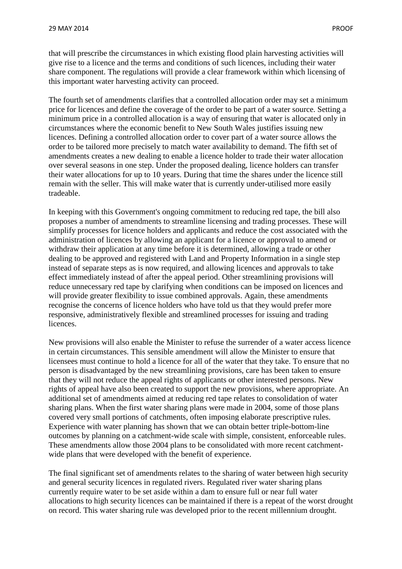that will prescribe the circumstances in which existing flood plain harvesting activities will give rise to a licence and the terms and conditions of such licences, including their water share component. The regulations will provide a clear framework within which licensing of this important water harvesting activity can proceed.

The fourth set of amendments clarifies that a controlled allocation order may set a minimum price for licences and define the coverage of the order to be part of a water source. Setting a minimum price in a controlled allocation is a way of ensuring that water is allocated only in circumstances where the economic benefit to New South Wales justifies issuing new licences. Defining a controlled allocation order to cover part of a water source allows the order to be tailored more precisely to match water availability to demand. The fifth set of amendments creates a new dealing to enable a licence holder to trade their water allocation over several seasons in one step. Under the proposed dealing, licence holders can transfer their water allocations for up to 10 years. During that time the shares under the licence still remain with the seller. This will make water that is currently under-utilised more easily tradeable.

In keeping with this Government's ongoing commitment to reducing red tape, the bill also proposes a number of amendments to streamline licensing and trading processes. These will simplify processes for licence holders and applicants and reduce the cost associated with the administration of licences by allowing an applicant for a licence or approval to amend or withdraw their application at any time before it is determined, allowing a trade or other dealing to be approved and registered with Land and Property Information in a single step instead of separate steps as is now required, and allowing licences and approvals to take effect immediately instead of after the appeal period. Other streamlining provisions will reduce unnecessary red tape by clarifying when conditions can be imposed on licences and will provide greater flexibility to issue combined approvals. Again, these amendments recognise the concerns of licence holders who have told us that they would prefer more responsive, administratively flexible and streamlined processes for issuing and trading licences.

New provisions will also enable the Minister to refuse the surrender of a water access licence in certain circumstances. This sensible amendment will allow the Minister to ensure that licensees must continue to hold a licence for all of the water that they take. To ensure that no person is disadvantaged by the new streamlining provisions, care has been taken to ensure that they will not reduce the appeal rights of applicants or other interested persons. New rights of appeal have also been created to support the new provisions, where appropriate. An additional set of amendments aimed at reducing red tape relates to consolidation of water sharing plans. When the first water sharing plans were made in 2004, some of those plans covered very small portions of catchments, often imposing elaborate prescriptive rules. Experience with water planning has shown that we can obtain better triple-bottom-line outcomes by planning on a catchment-wide scale with simple, consistent, enforceable rules. These amendments allow those 2004 plans to be consolidated with more recent catchmentwide plans that were developed with the benefit of experience.

The final significant set of amendments relates to the sharing of water between high security and general security licences in regulated rivers. Regulated river water sharing plans currently require water to be set aside within a dam to ensure full or near full water allocations to high security licences can be maintained if there is a repeat of the worst drought on record. This water sharing rule was developed prior to the recent millennium drought.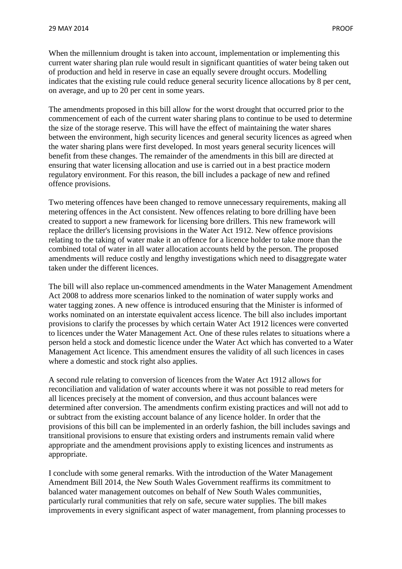When the millennium drought is taken into account, implementation or implementing this current water sharing plan rule would result in significant quantities of water being taken out of production and held in reserve in case an equally severe drought occurs. Modelling indicates that the existing rule could reduce general security licence allocations by 8 per cent, on average, and up to 20 per cent in some years.

The amendments proposed in this bill allow for the worst drought that occurred prior to the commencement of each of the current water sharing plans to continue to be used to determine the size of the storage reserve. This will have the effect of maintaining the water shares between the environment, high security licences and general security licences as agreed when the water sharing plans were first developed. In most years general security licences will benefit from these changes. The remainder of the amendments in this bill are directed at ensuring that water licensing allocation and use is carried out in a best practice modern regulatory environment. For this reason, the bill includes a package of new and refined offence provisions.

Two metering offences have been changed to remove unnecessary requirements, making all metering offences in the Act consistent. New offences relating to bore drilling have been created to support a new framework for licensing bore drillers. This new framework will replace the driller's licensing provisions in the Water Act 1912. New offence provisions relating to the taking of water make it an offence for a licence holder to take more than the combined total of water in all water allocation accounts held by the person. The proposed amendments will reduce costly and lengthy investigations which need to disaggregate water taken under the different licences.

The bill will also replace un-commenced amendments in the Water Management Amendment Act 2008 to address more scenarios linked to the nomination of water supply works and water tagging zones. A new offence is introduced ensuring that the Minister is informed of works nominated on an interstate equivalent access licence. The bill also includes important provisions to clarify the processes by which certain Water Act 1912 licences were converted to licences under the Water Management Act. One of these rules relates to situations where a person held a stock and domestic licence under the Water Act which has converted to a Water Management Act licence. This amendment ensures the validity of all such licences in cases where a domestic and stock right also applies.

A second rule relating to conversion of licences from the Water Act 1912 allows for reconciliation and validation of water accounts where it was not possible to read meters for all licences precisely at the moment of conversion, and thus account balances were determined after conversion. The amendments confirm existing practices and will not add to or subtract from the existing account balance of any licence holder. In order that the provisions of this bill can be implemented in an orderly fashion, the bill includes savings and transitional provisions to ensure that existing orders and instruments remain valid where appropriate and the amendment provisions apply to existing licences and instruments as appropriate.

I conclude with some general remarks. With the introduction of the Water Management Amendment Bill 2014, the New South Wales Government reaffirms its commitment to balanced water management outcomes on behalf of New South Wales communities, particularly rural communities that rely on safe, secure water supplies. The bill makes improvements in every significant aspect of water management, from planning processes to